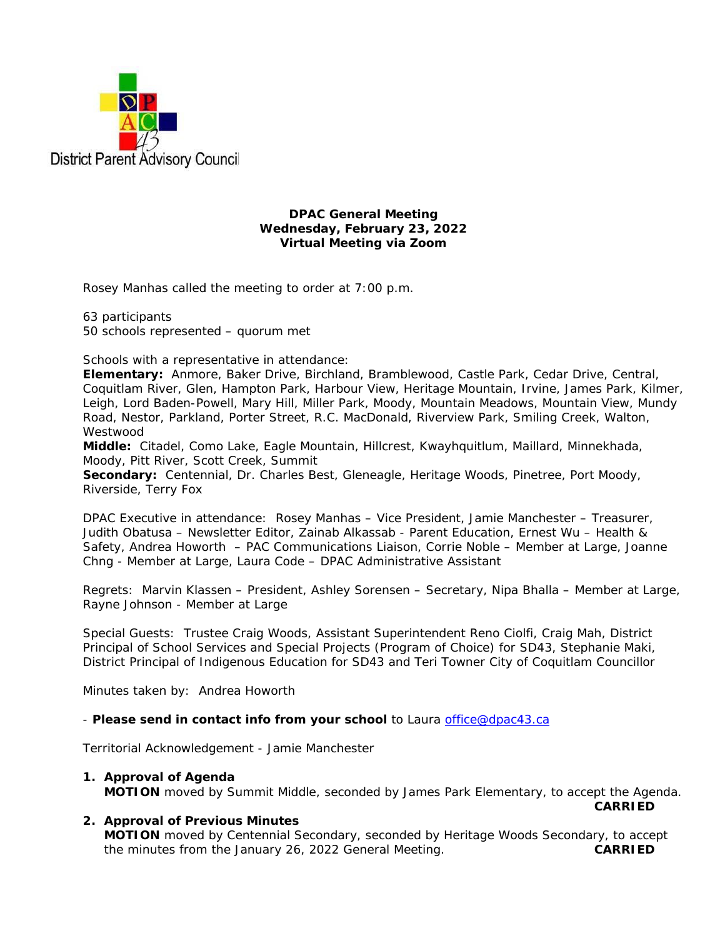

#### **DPAC General Meeting Wednesday, February 23, 2022 Virtual Meeting via Zoom**

Rosey Manhas called the meeting to order at 7:00 p.m.

63 participants 50 schools represented – quorum met

Schools with a representative in attendance:

**Elementary:** Anmore, Baker Drive, Birchland, Bramblewood, Castle Park, Cedar Drive, Central, Coquitlam River, Glen, Hampton Park, Harbour View, Heritage Mountain, Irvine, James Park, Kilmer, Leigh, Lord Baden-Powell, Mary Hill, Miller Park, Moody, Mountain Meadows, Mountain View, Mundy Road, Nestor, Parkland, Porter Street, R.C. MacDonald, Riverview Park, Smiling Creek, Walton, Westwood

**Middle:** Citadel, Como Lake, Eagle Mountain, Hillcrest, Kwayhquitlum, Maillard, Minnekhada, Moody, Pitt River, Scott Creek, Summit

**Secondary:** Centennial, Dr. Charles Best, Gleneagle, Heritage Woods, Pinetree, Port Moody, Riverside, Terry Fox

DPAC Executive in attendance: Rosey Manhas – Vice President, Jamie Manchester – Treasurer, Judith Obatusa – Newsletter Editor, Zainab Alkassab - Parent Education, Ernest Wu – Health & Safety, Andrea Howorth – PAC Communications Liaison, Corrie Noble – Member at Large, Joanne Chng - Member at Large, Laura Code – DPAC Administrative Assistant

Regrets: Marvin Klassen – President, Ashley Sorensen – Secretary, Nipa Bhalla – Member at Large, Rayne Johnson - Member at Large

Special Guests: Trustee Craig Woods, Assistant Superintendent Reno Ciolfi, Craig Mah, District Principal of School Services and Special Projects (Program of Choice) for SD43, Stephanie Maki, District Principal of Indigenous Education for SD43 and Teri Towner City of Coquitlam Councillor

Minutes taken by: Andrea Howorth

- *Please send in contact info from your school* to Laura office@dpac43.ca

Territorial Acknowledgement - Jamie Manchester

# **1. Approval of Agenda**

**MOTION** moved by *Summit Middle*, seconded by *James Park Elementary,* to accept the Agenda. **CARRIED CARRIED** 

### **2. Approval of Previous Minutes**

**MOTION** moved by *Centennial Secondary*, seconded by *Heritage Woods Secondary*, to accept the minutes from the January 26, 2022 General Meeting. **CARRIED**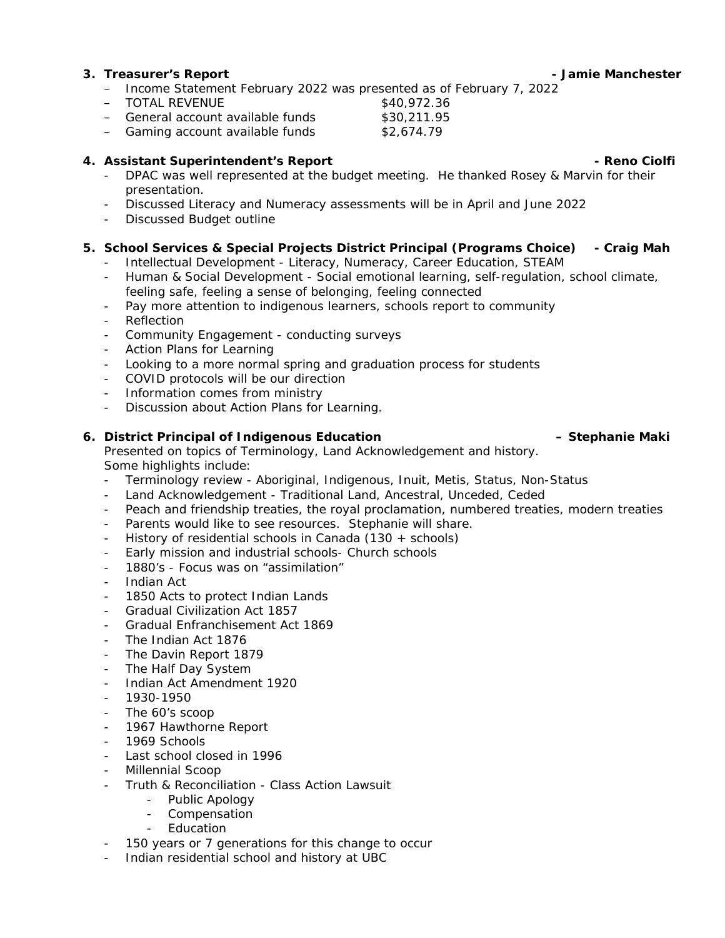#### **3. Treasurer's Report - Jamie Manchester**

- − Income Statement February 2022 was presented as of February 7, 2022
- 

− TOTAL REVENUE<br>
− General account available funds \$30,211.95 − General account available funds \$30,211.95<br>- Gaming account available funds \$2,674.79

− Gaming account available funds

#### **4.** Assistant Superintendent's Report **Accord Accord Accord Accord Accord Accord Accord Accord Accord Accord Accord Accord Accord Accord Accord Accord Accord Accord Accord Accord Accord Accord Accord Accord Accord Accord**

- DPAC was well represented at the budget meeting. He thanked Rosey & Marvin for their presentation.
- Discussed Literacy and Numeracy assessments will be in April and June 2022
- Discussed Budget outline

### **5. School Services & Special Projects District Principal (Programs Choice) - Craig Mah**

- Intellectual Development Literacy, Numeracy, Career Education, STEAM
- Human & Social Development Social emotional learning, self-regulation, school climate, feeling safe, feeling a sense of belonging, feeling connected
- Pay more attention to indigenous learners, schools report to community
- Reflection
- Community Engagement conducting surveys
- Action Plans for Learning
- Looking to a more normal spring and graduation process for students
- COVID protocols will be our direction
- Information comes from ministry
- Discussion about Action Plans for Learning.

# **6. District Principal of Indigenous Education – Stephanie Maki**

### Presented on topics of Terminology, Land Acknowledgement and history. Some highlights include:

- Terminology review Aboriginal, Indigenous, Inuit, Metis, Status, Non-Status
- Land Acknowledgement Traditional Land, Ancestral, Unceded, Ceded
- Peach and friendship treaties, the royal proclamation, numbered treaties, modern treaties
- Parents would like to see resources. Stephanie will share.
- History of residential schools in Canada  $(130 +$  schools)
- Early mission and industrial schools- Church schools
- 1880's Focus was on "assimilation"
- Indian Act
- 1850 Acts to protect Indian Lands
- Gradual Civilization Act 1857
- Gradual Enfranchisement Act 1869
- The Indian Act 1876
- The Davin Report 1879
- The Half Day System
- Indian Act Amendment 1920
- 1930-1950
- The 60's scoop
- 1967 Hawthorne Report
- 1969 Schools
- Last school closed in 1996
- Millennial Scoop
- Truth & Reconciliation Class Action Lawsuit
	- Public Apology
	- Compensation
	- Education
- 150 years or 7 generations for this change to occur
- Indian residential school and history at UBC

- 
-